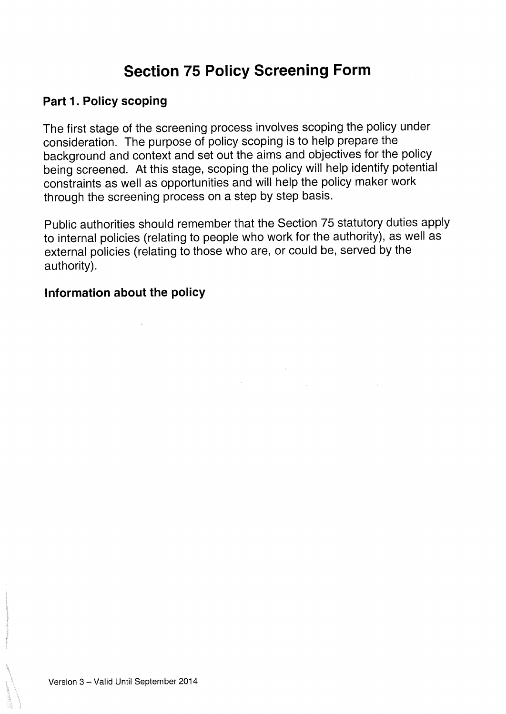# Section 75 Policy Screening Form

#### Part 1. Policy scoping

The first stage of the screening process involves scoping the policy under consideration. The purpose of policy scoping is to help prepare the background and context and set out the aims and objectives for the policy being screened. At this stage, scoping the policy will help identify potential constraints as well as opportunities and will help the policy maker work through the screening process on <sup>a</sup> step by step basis.

Public authorities should remember that the Section 75 statutory duties apply to internal policies (relating to people who work for the authority), as well as external policies (relating to those who are, or could be, served by the authority).

#### Information about the policy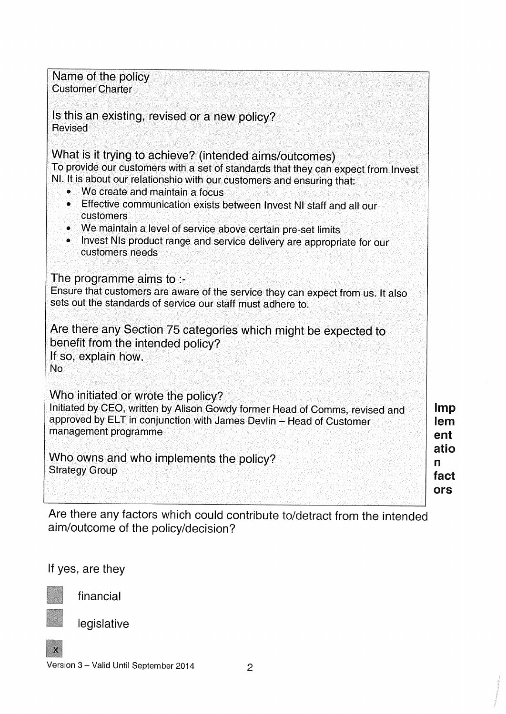| Name of the policy<br><b>Customer Charter</b><br>Is this an existing, revised or a new policy?<br><b>Revised</b><br>What is it trying to achieve? (intended aims/outcomes)<br>To provide our customers with a set of standards that they can expect from Invest<br>NI. It is about our relationshio with our customers and ensuring that:<br>We create and maintain a focus<br>Effective communication exists between Invest NI staff and all our<br>۵<br>customers<br>• We maintain a level of service above certain pre-set limits<br>Invest NIs product range and service delivery are appropriate for our<br>customers needs |                          |
|----------------------------------------------------------------------------------------------------------------------------------------------------------------------------------------------------------------------------------------------------------------------------------------------------------------------------------------------------------------------------------------------------------------------------------------------------------------------------------------------------------------------------------------------------------------------------------------------------------------------------------|--------------------------|
| The programme aims to :-<br>Ensure that customers are aware of the service they can expect from us. It also<br>sets out the standards of service our staff must adhere to.                                                                                                                                                                                                                                                                                                                                                                                                                                                       |                          |
| Are there any Section 75 categories which might be expected to<br>benefit from the intended policy?<br>If so, explain how.<br>No                                                                                                                                                                                                                                                                                                                                                                                                                                                                                                 |                          |
| Who initiated or wrote the policy?<br>Initiated by CEO, written by Alison Gowdy former Head of Comms, revised and<br>approved by ELT in conjunction with James Devlin - Head of Customer<br>management programme                                                                                                                                                                                                                                                                                                                                                                                                                 | Imp<br>lem<br>ent        |
| Who owns and who implements the policy?<br><b>Strategy Group</b>                                                                                                                                                                                                                                                                                                                                                                                                                                                                                                                                                                 | atio<br>n<br>fact<br>ors |

Are there any factors which could contribute to/detract from the intended aim/outcome of the policy/decision?

If yes, are they

financial

legislative



Version <sup>3</sup> — Valid Until September 2014 2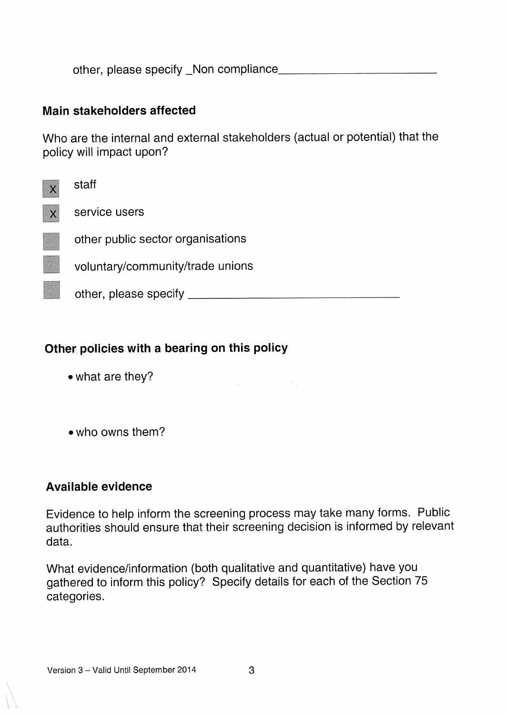other, please specify \_Non compliance.

#### Main stakeholders affected

Who are the internal and external stakeholders (actual or potential) that the policy will impact upon?

| staff                             |
|-----------------------------------|
| service users                     |
| other public sector organisations |
| voluntary/community/trade unions  |
| other, please specify             |

## Other policies with <sup>a</sup> bearing on this policy

- . what are they?
- . who owns them?

#### Available evidence

Evidence to help inform the screening process may take many forms. Public authorities should ensure that their screening decision is informed by relevant data.

 $\frac{1}{\sqrt{2}}\frac{d\phi}{d\phi}$ 

What evidence/information (both qualitative and quantitative) have you gathered to inform this policy? Specify details for each of the Section <sup>75</sup> categories.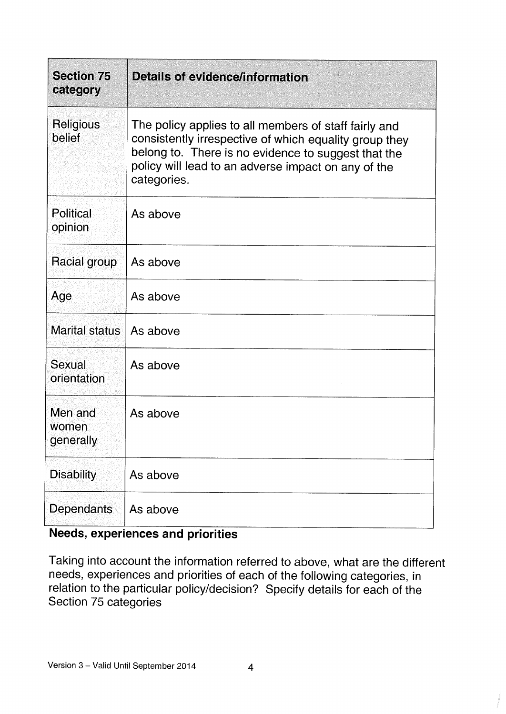| <b>Section 75</b><br>category | Details of evidence/information                                                                                                                                                                                                              |
|-------------------------------|----------------------------------------------------------------------------------------------------------------------------------------------------------------------------------------------------------------------------------------------|
| Religious<br>belief           | The policy applies to all members of staff fairly and<br>consistently irrespective of which equality group they<br>belong to. There is no evidence to suggest that the<br>policy will lead to an adverse impact on any of the<br>categories. |
| <b>Political</b><br>opinion   | As above                                                                                                                                                                                                                                     |
| Racial group                  | As above                                                                                                                                                                                                                                     |
| Age                           | As above                                                                                                                                                                                                                                     |
| Marital status                | As above                                                                                                                                                                                                                                     |
| Sexual<br>orientation         | As above                                                                                                                                                                                                                                     |
| Men and<br>women<br>generally | As above                                                                                                                                                                                                                                     |
| <b>Disability</b>             | As above                                                                                                                                                                                                                                     |
| Dependants                    | As above                                                                                                                                                                                                                                     |

## Needs, experiences and priorities

Taking into account the information referred to above, what are the different needs, experiences and priorities of each of the following categories, in relation to the particular policy/decision? Specify details for each of the Section 75 categories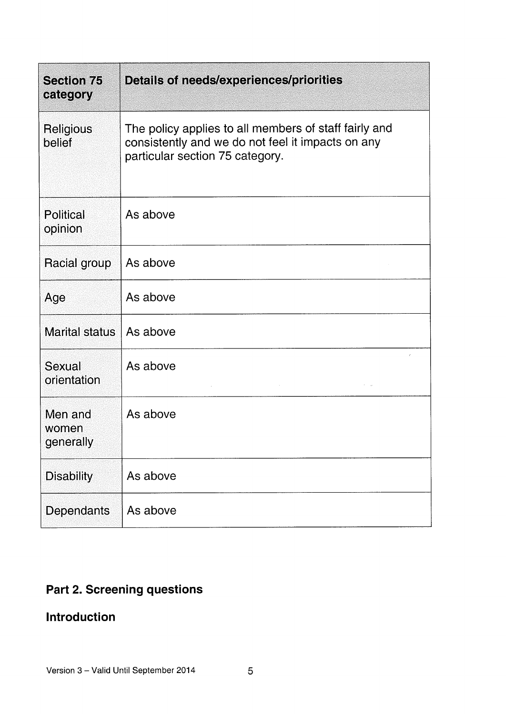| <b>Section 75</b><br>category | <b>Details of needs/experiences/priorities</b>                                                                                                |
|-------------------------------|-----------------------------------------------------------------------------------------------------------------------------------------------|
| Religious<br>belief           | The policy applies to all members of staff fairly and<br>consistently and we do not feel it impacts on any<br>particular section 75 category. |
| <b>Political</b><br>opinion   | As above                                                                                                                                      |
| Racial group                  | As above                                                                                                                                      |
| Age                           | As above                                                                                                                                      |
| <b>Marital status</b>         | As above                                                                                                                                      |
| Sexual<br>orientation         | As above                                                                                                                                      |
| Men and<br>women<br>generally | As above                                                                                                                                      |
| <b>Disability</b>             | As above                                                                                                                                      |
| Dependants                    | As above                                                                                                                                      |

## Part 2. Screening questions

## Introduction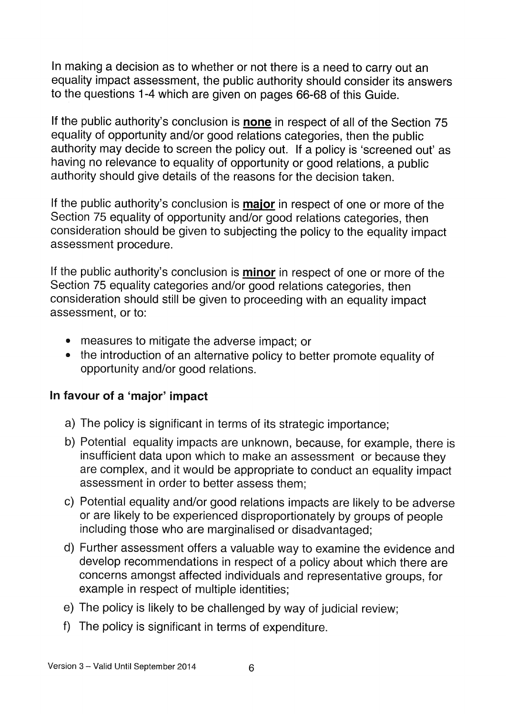In making <sup>a</sup> decision as to whether or not there is <sup>a</sup> need to carry out an equality impact assessment, the public authority should consider its answers to the questions 1-4 which are <sup>g</sup>iven on pages 66-68 of this Guide.

If the public authority's conclusion is none in respect of all of the Section <sup>75</sup> equality of opportunity and/or good relations categories, then the public authority may decide to screen the policy out. If <sup>a</sup> policy is 'screened out' as having no relevance to equality of opportunity or good relations, <sup>a</sup> public authority should give details of the reasons for the decision taken.

If the public authority's conclusion is **major** in respect of one or more of the Section <sup>75</sup> equality of opportunity and/or good relations categories, then consideration should be <sup>g</sup>iven to subjecting the policy to the equality impact assessment procedure.

If the public authority's conclusion is *minor* in respect of one or more of the Section <sup>75</sup> equality categories and/or good relations categories, then consideration should still be <sup>g</sup>iven to proceeding with an equality impact assessment, or to:

- measures to mitigate the adverse impact; or
- the introduction of an alternative policy to better promote equality of opportunity and/or good relations.

## In favour of <sup>a</sup> 'major' impact

- a) The policy is significant in terms of its strategic importance;
- b) Potential equality impacts are unknown, because, for example, there is insufficient data upon which to make an assessment or because they are complex, and it would be appropriate to conduct an equality impact assessment in order to better assess them;
- c) Potential equality and/or good relations impacts are likely to be adverse or are likely to be experienced disproportionately by groups of people including those who are marginalised or disadvantaged;
- U) Further assessment offers <sup>a</sup> valuable way to examine the evidence and develop recommendations in respect of <sup>a</sup> policy about which there are concerns amongst affected individuals and representative groups, for example in respect of multiple identities;
- e) The policy is likely to be challenged by way of judicial review;
- f) The policy is significant in terms of expenditure.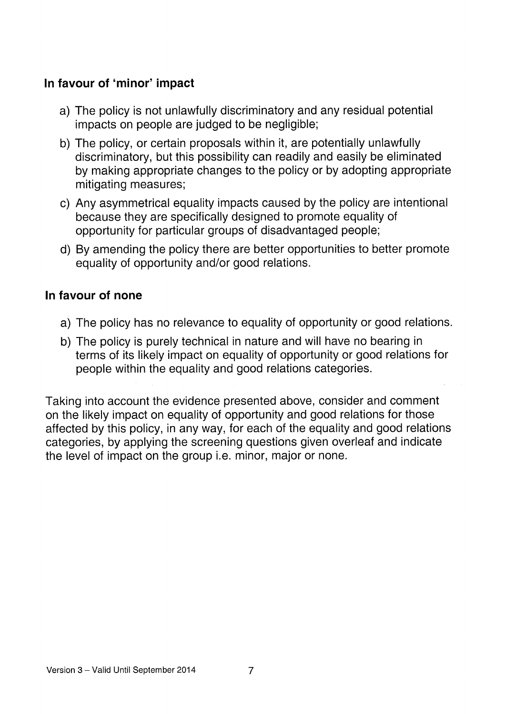## In favour of 'minor' impact

- a) The policy is not unlawfully discriminatory and any residual potential impacts on people are judged to be negligible;
- b) The policy, or certain proposals within it, are potentially unlawfully discriminatory, but this possibility can readily and easily be eliminated by making appropriate changes to the policy or by adopting appropriate mitigating measures;
- c) Any asymmetrical equality impacts caused by the policy are intentional because they are specifically designed to promote equality of opportunity for particular groups of disadvantaged people;
- d) By amending the policy there are better opportunities to better promote equality of opportunity and/or good relations.

## In favour of none

- a) The policy has no relevance to equality of opportunity or good relations.
- b) The policy is purely technical in nature and will have no bearing in terms of its likely impact on equality of opportunity or good relations for people within the equality and good relations categories.

Taking into account the evidence presented above, consider and comment on the likely impact on equality of opportunity and good relations for those affected by this policy, in any way, for each of the equality and good relations categories, by applying the screening questions given overleaf and indicate the level of impact on the group i.e. minor, major or none.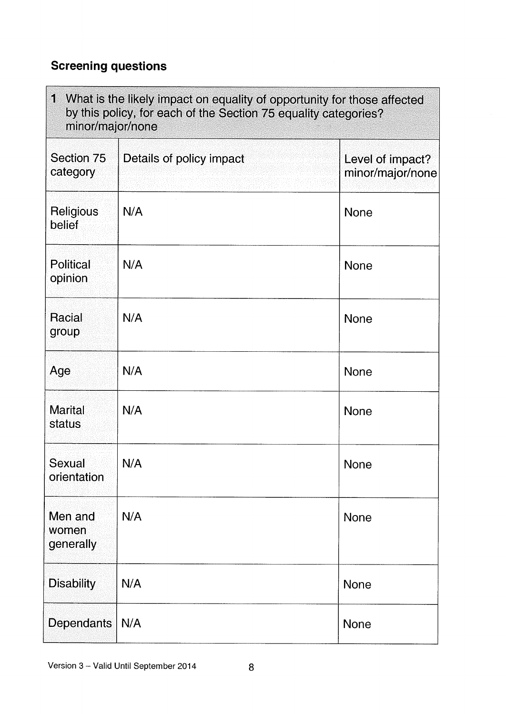## Screening questions

| 1 What is the likely impact on equality of opportunity for those affected<br>by this policy, for each of the Section 75 equality categories?<br>minor/major/none |                          |                                      |
|------------------------------------------------------------------------------------------------------------------------------------------------------------------|--------------------------|--------------------------------------|
| Section 75<br>category                                                                                                                                           | Details of policy impact | Level of impact?<br>minor/major/none |
| <b>Religious</b><br>belief                                                                                                                                       | N/A                      | <b>None</b>                          |
| <b>Political</b><br>opinion                                                                                                                                      | N/A                      | <b>None</b>                          |
| Racial<br>group                                                                                                                                                  | N/A                      | <b>None</b>                          |
| Age                                                                                                                                                              | N/A                      | <b>None</b>                          |
| <b>Marital</b><br>status                                                                                                                                         | N/A                      | <b>None</b>                          |
| Sexual<br>orientation                                                                                                                                            | N/A                      | None                                 |
| Men and<br>women<br>generally                                                                                                                                    | N/A                      | <b>None</b>                          |
| <b>Disability</b>                                                                                                                                                | N/A                      | <b>None</b>                          |
| <b>Dependants</b>                                                                                                                                                | N/A                      | None                                 |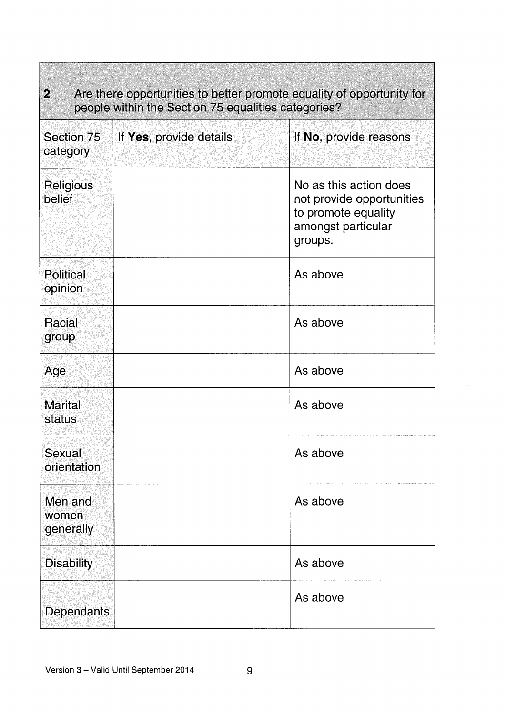| $\mathcal{D}_\text{a}$<br>Are there opportunities to better promote equality of opportunity for<br>people within the Section 75 equalities categories? |                         |                                                                                                             |
|--------------------------------------------------------------------------------------------------------------------------------------------------------|-------------------------|-------------------------------------------------------------------------------------------------------------|
| Section 75<br>category                                                                                                                                 | If Yes, provide details | If No, provide reasons                                                                                      |
| Religious<br>belief                                                                                                                                    |                         | No as this action does<br>not provide opportunities<br>to promote equality<br>amongst particular<br>groups. |
| <b>Political</b><br>opinion                                                                                                                            |                         | As above                                                                                                    |
| Racial<br>group                                                                                                                                        |                         | As above                                                                                                    |
| Age                                                                                                                                                    |                         | As above                                                                                                    |
| <b>Marital</b><br>status                                                                                                                               |                         | As above                                                                                                    |
| Sexual<br>orientation                                                                                                                                  |                         | As above                                                                                                    |
| Men and<br>women<br>generally                                                                                                                          |                         | As above                                                                                                    |
| <b>Disability</b>                                                                                                                                      |                         | As above                                                                                                    |
| Dependants                                                                                                                                             |                         | As above                                                                                                    |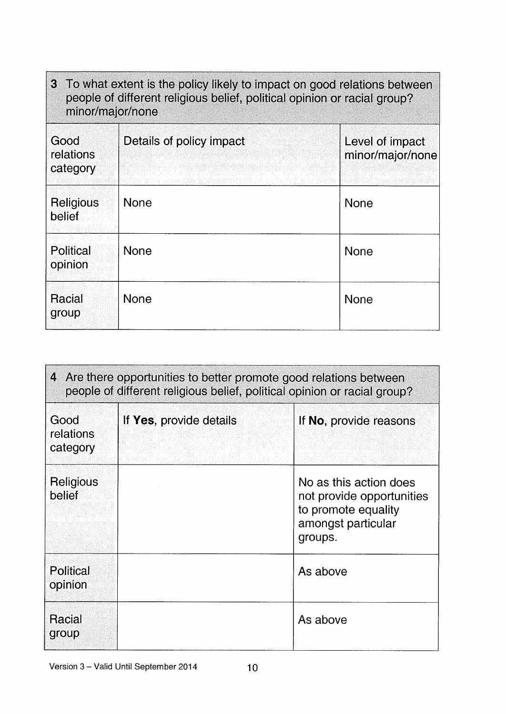| 3 To what extent is the policy likely to impact on good relations between<br>people of different religious belief, political opinion or racial group?<br>minor/major/none |                          |                                     |  |
|---------------------------------------------------------------------------------------------------------------------------------------------------------------------------|--------------------------|-------------------------------------|--|
| Good<br>relations<br>category                                                                                                                                             | Details of policy impact | Level of impact<br>minor/major/none |  |
| <b>Religious</b><br>belief                                                                                                                                                | <b>None</b>              | <b>None</b>                         |  |
| <b>Political</b><br>opinion                                                                                                                                               | <b>None</b>              | <b>None</b>                         |  |
| Racial<br>group                                                                                                                                                           | <b>None</b>              | <b>None</b>                         |  |

| 4 Are there opportunities to better promote good relations between<br>people of different religious belief, political opinion or racial group? |                         |                                                                                                             |  |
|------------------------------------------------------------------------------------------------------------------------------------------------|-------------------------|-------------------------------------------------------------------------------------------------------------|--|
| Good<br>relations<br>category                                                                                                                  | If Yes, provide details | If No, provide reasons                                                                                      |  |
| Religious<br>belief                                                                                                                            |                         | No as this action does<br>not provide opportunities<br>to promote equality<br>amongst particular<br>groups. |  |
| <b>Political</b><br>opinion                                                                                                                    |                         | As above                                                                                                    |  |
| Racial<br>group                                                                                                                                |                         | As above                                                                                                    |  |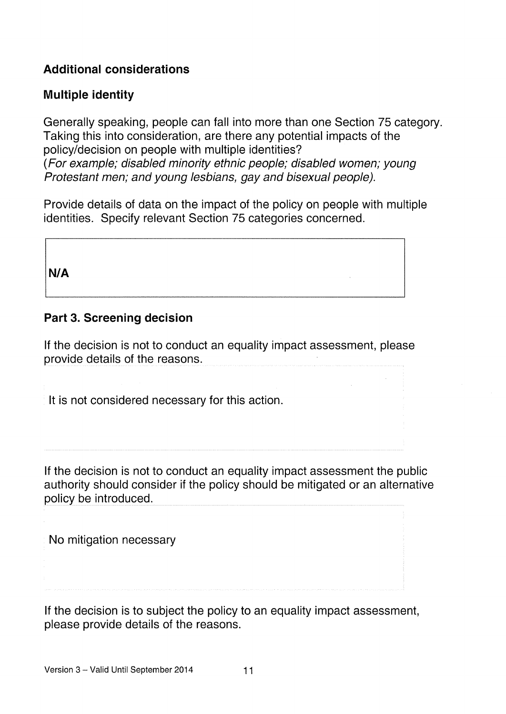## Additional considerations

## Multiple identity

Generally speaking, people can fall into more than one Section 75 category. Taking this into consideration, are there any potential impacts of the policy/decision on people with multiple identities? (For example; disabled minority ethnic people; disabled women; young Protestant men; and young lesbians, gay and bisexual people).

Provide details of data on the impact of the policy on people with multiple identities. Specify relevant Section 75 categories concerned.

N/A

## Part 3. Screening decision

If the decision is not to conduct an equality impact assessment, please provide details of the reasons.

It is not considered necessary for this action.

If the decision is not to conduct an equality impact assessment the public authority should consider if the policy should be mitigated or an alternative policy be introduced.

No mitigation necessary

If the decision is to subject the policy to an equality impact assessment, please provide details of the reasons.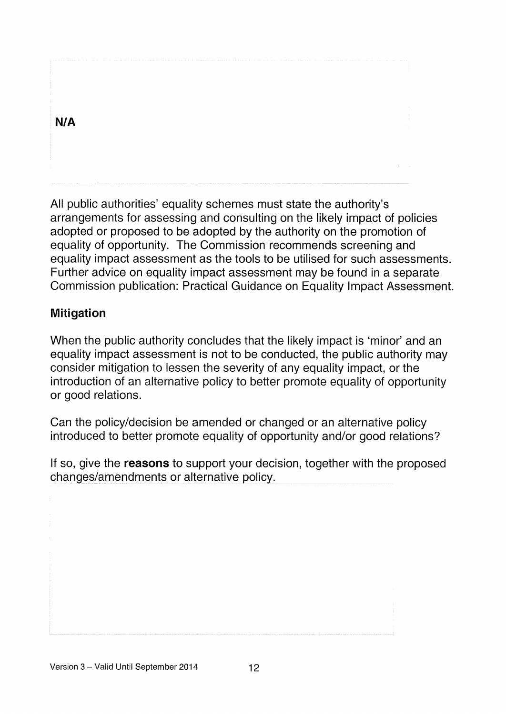| N/A |  |
|-----|--|
|     |  |
|     |  |
|     |  |
|     |  |

All public authorities' equality schemes must state the authority's arrangements for assessing and consulting on the likely impact of policies adopted or proposed to be adopted by the authority on the promotion of equality of opportunity. The Commission recommends screening and equality impact assessment as the tools to be utilised for such assessments. Further advice on equality impact assessment may be found in a separate Commission publication: Practical Guidance on Equality Impact Assessment.

## Mitigation

When the public authority concludes that the likely impact is 'minor' and an equality impact assessment is not to be conducted, the public authority may consider mitigation to lessen the severity of any equality impact, or the introduction of an alternative policy to better promote equality of opportunity or good relations.

Can the policy/decision be amended or changed or an alternative policy introduced to better promote equality of opportunity and/or good relations?

If so, give the **reasons** to support your decision, together with the proposed changes/amendments or alternative policy.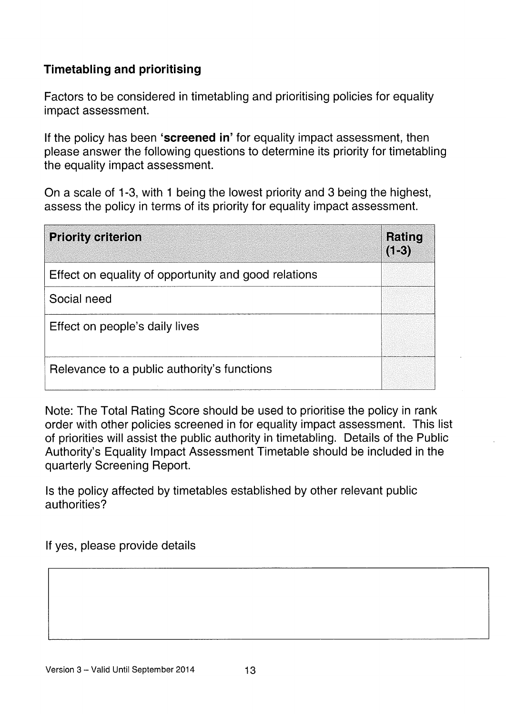## Timetabling and prioritising

Factors to be considered in timetabling and prioritising policies for equality impact assessment.

If the policy has been 'screened in' for equality impact assessment, then please answer the following questions to determine its priority for timetabling the equality impact assessment.

On a scale of <sup>1</sup> -3, with <sup>1</sup> being the lowest priority and 3 being the highest, assess the policy in terms of its priority for equality impact assessment.

| <b>Priority criterion</b>                            | Rating<br>$(1-3)$ |
|------------------------------------------------------|-------------------|
| Effect on equality of opportunity and good relations |                   |
| Social need                                          |                   |
| Effect on people's daily lives                       |                   |
| Relevance to a public authority's functions          |                   |

Note: The Total Rating Score should be used to prioritise the policy in rank order with other policies screened in for equality impact assessment. This list of priorities will assist the public authority in timetabling. Details of the Public Authority's Equality Impact Assessment Timetable should be included in the quarterly Screening Report.

Is the policy affected by timetables established by other relevant public authorities?

If yes, please provide details